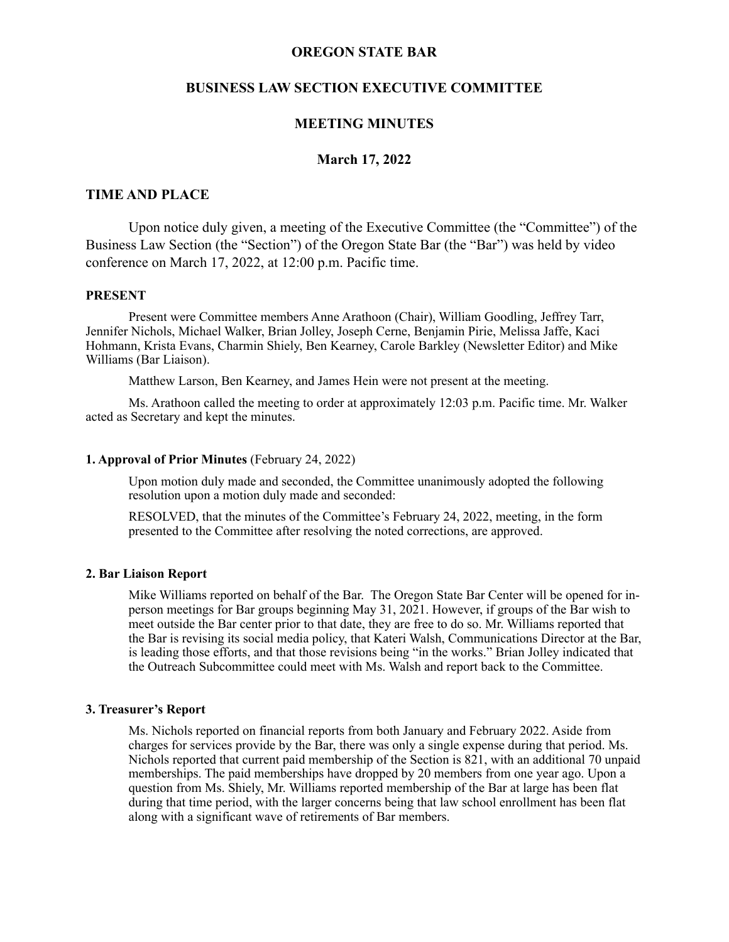# **OREGON STATE BAR**

# **BUSINESS LAW SECTION EXECUTIVE COMMITTEE**

### **MEETING MINUTES**

### **March 17, 2022**

### **TIME AND PLACE**

Upon notice duly given, a meeting of the Executive Committee (the "Committee") of the Business Law Section (the "Section") of the Oregon State Bar (the "Bar") was held by video conference on March 17, 2022, at 12:00 p.m. Pacific time.

#### **PRESENT**

Present were Committee members Anne Arathoon (Chair), William Goodling, Jeffrey Tarr, Jennifer Nichols, Michael Walker, Brian Jolley, Joseph Cerne, Benjamin Pirie, Melissa Jaffe, Kaci Hohmann, Krista Evans, Charmin Shiely, Ben Kearney, Carole Barkley (Newsletter Editor) and Mike Williams (Bar Liaison).

Matthew Larson, Ben Kearney, and James Hein were not present at the meeting.

Ms. Arathoon called the meeting to order at approximately 12:03 p.m. Pacific time. Mr. Walker acted as Secretary and kept the minutes.

#### **1. Approval of Prior Minutes** (February 24, 2022)

Upon motion duly made and seconded, the Committee unanimously adopted the following resolution upon a motion duly made and seconded:

RESOLVED, that the minutes of the Committee's February 24, 2022, meeting, in the form presented to the Committee after resolving the noted corrections, are approved.

#### **2. Bar Liaison Report**

Mike Williams reported on behalf of the Bar. The Oregon State Bar Center will be opened for inperson meetings for Bar groups beginning May 31, 2021. However, if groups of the Bar wish to meet outside the Bar center prior to that date, they are free to do so. Mr. Williams reported that the Bar is revising its social media policy, that Kateri Walsh, Communications Director at the Bar, is leading those efforts, and that those revisions being "in the works." Brian Jolley indicated that the Outreach Subcommittee could meet with Ms. Walsh and report back to the Committee.

### **3. Treasurer's Report**

Ms. Nichols reported on financial reports from both January and February 2022. Aside from charges for services provide by the Bar, there was only a single expense during that period. Ms. Nichols reported that current paid membership of the Section is 821, with an additional 70 unpaid memberships. The paid memberships have dropped by 20 members from one year ago. Upon a question from Ms. Shiely, Mr. Williams reported membership of the Bar at large has been flat during that time period, with the larger concerns being that law school enrollment has been flat along with a significant wave of retirements of Bar members.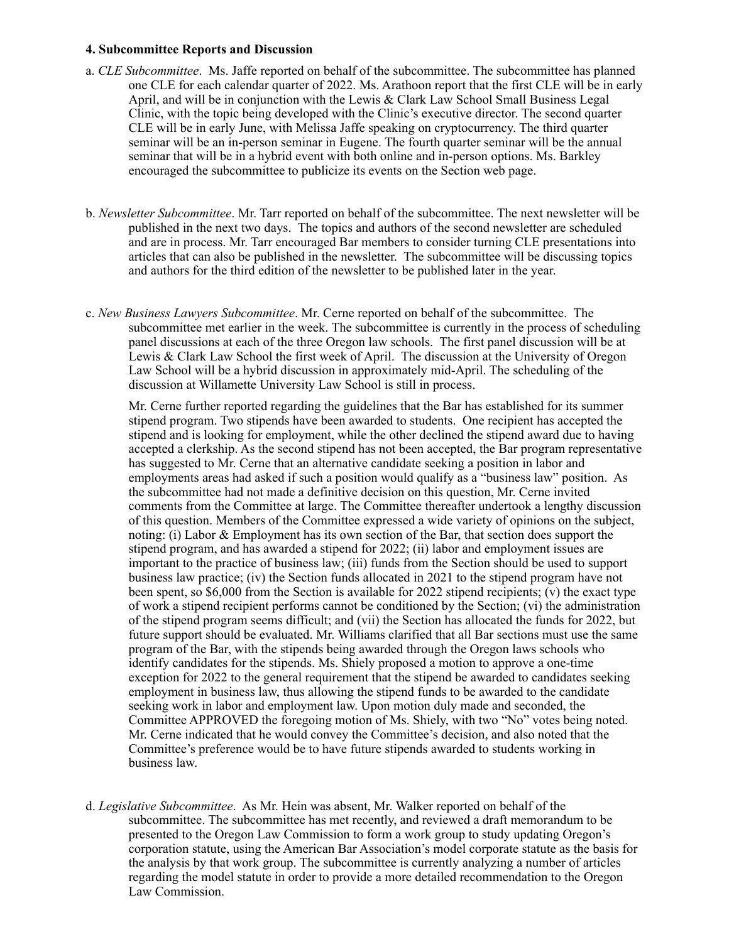#### **4. Subcommittee Reports and Discussion**

- a. *CLE Subcommittee*. Ms. Jaffe reported on behalf of the subcommittee. The subcommittee has planned one CLE for each calendar quarter of 2022. Ms. Arathoon report that the first CLE will be in early April, and will be in conjunction with the Lewis & Clark Law School Small Business Legal Clinic, with the topic being developed with the Clinic's executive director. The second quarter CLE will be in early June, with Melissa Jaffe speaking on cryptocurrency. The third quarter seminar will be an in-person seminar in Eugene. The fourth quarter seminar will be the annual seminar that will be in a hybrid event with both online and in-person options. Ms. Barkley encouraged the subcommittee to publicize its events on the Section web page.
- b. *Newsletter Subcommittee*. Mr. Tarr reported on behalf of the subcommittee. The next newsletter will be published in the next two days. The topics and authors of the second newsletter are scheduled and are in process. Mr. Tarr encouraged Bar members to consider turning CLE presentations into articles that can also be published in the newsletter. The subcommittee will be discussing topics and authors for the third edition of the newsletter to be published later in the year.
- c. *New Business Lawyers Subcommittee*. Mr. Cerne reported on behalf of the subcommittee. The subcommittee met earlier in the week. The subcommittee is currently in the process of scheduling panel discussions at each of the three Oregon law schools. The first panel discussion will be at Lewis & Clark Law School the first week of April. The discussion at the University of Oregon Law School will be a hybrid discussion in approximately mid-April. The scheduling of the discussion at Willamette University Law School is still in process.

Mr. Cerne further reported regarding the guidelines that the Bar has established for its summer stipend program. Two stipends have been awarded to students. One recipient has accepted the stipend and is looking for employment, while the other declined the stipend award due to having accepted a clerkship. As the second stipend has not been accepted, the Bar program representative has suggested to Mr. Cerne that an alternative candidate seeking a position in labor and employments areas had asked if such a position would qualify as a "business law" position. As the subcommittee had not made a definitive decision on this question, Mr. Cerne invited comments from the Committee at large. The Committee thereafter undertook a lengthy discussion of this question. Members of the Committee expressed a wide variety of opinions on the subject, noting: (i) Labor & Employment has its own section of the Bar, that section does support the stipend program, and has awarded a stipend for 2022; (ii) labor and employment issues are important to the practice of business law; (iii) funds from the Section should be used to support business law practice; (iv) the Section funds allocated in 2021 to the stipend program have not been spent, so \$6,000 from the Section is available for 2022 stipend recipients; (v) the exact type of work a stipend recipient performs cannot be conditioned by the Section; (vi) the administration of the stipend program seems difficult; and (vii) the Section has allocated the funds for 2022, but future support should be evaluated. Mr. Williams clarified that all Bar sections must use the same program of the Bar, with the stipends being awarded through the Oregon laws schools who identify candidates for the stipends. Ms. Shiely proposed a motion to approve a one-time exception for 2022 to the general requirement that the stipend be awarded to candidates seeking employment in business law, thus allowing the stipend funds to be awarded to the candidate seeking work in labor and employment law. Upon motion duly made and seconded, the Committee APPROVED the foregoing motion of Ms. Shiely, with two "No" votes being noted. Mr. Cerne indicated that he would convey the Committee's decision, and also noted that the Committee's preference would be to have future stipends awarded to students working in business law.

d. *Legislative Subcommittee*. As Mr. Hein was absent, Mr. Walker reported on behalf of the subcommittee. The subcommittee has met recently, and reviewed a draft memorandum to be presented to the Oregon Law Commission to form a work group to study updating Oregon's corporation statute, using the American Bar Association's model corporate statute as the basis for the analysis by that work group. The subcommittee is currently analyzing a number of articles regarding the model statute in order to provide a more detailed recommendation to the Oregon Law Commission.